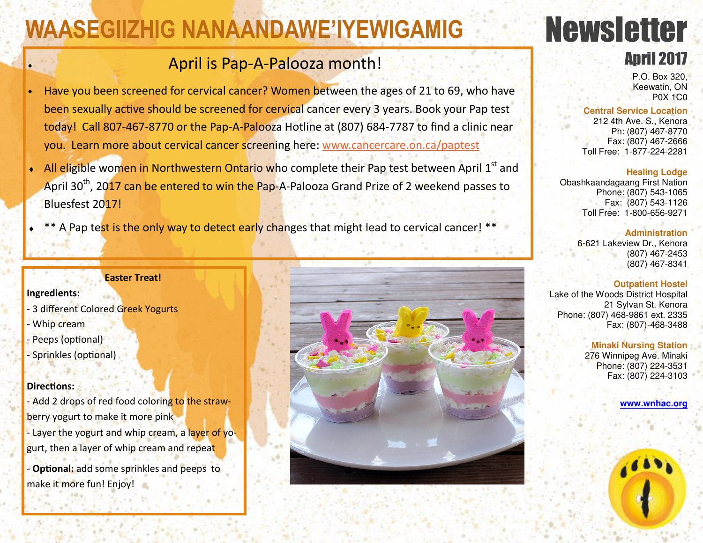# **WAASEGIIZHIG NANAANDAWE'IYEWIGAMIG**

## • April is Pap-A-Palooza month!

- Have you been screened for cervical cancer? Women between the ages of 21 to 69, who have been sexually active should be screened for cervical cancer every 3 years. Book your Pap test today! Call 807-467-8770 or the Pap-A-Palooza Hotline at (807) 684-7787 to find a clinic near you. Learn more about cervical cancer screening here: www.cancercare.on.ca/paptest
- All eligible women in Northwestern Ontario who complete their Pap test between April 1st and April 30<sup>th</sup>, 2017 can be entered to win the Pap-A-Palooza Grand Prize of 2 weekend passes to Bluesfest 2017!
- \*\* A Pap test is the only way to detect early changes that might lead to cervical cancer! \*\*

#### **Easter Treat!**

**Ingredients:** 

- 3 different Colored Greek Yogurts - Whip cream Peeps (optional) - Sprinkles (optional)

#### **Directions:**

- Add 2 drops of red food coloring to the strawberry yogurt to make it more pink - Layer the yogurt and whip cream, a layer of yogurt, then a layer of whip cream and repeat

- **Optional:** add some sprinkles and peeps to make it more fun! Enjoy!



# Newsletter

### April 2017

P.O. Box 320, Keewatin, ON P0X 1C0

#### **Central Service Location**

 212 4th Ave. S., Kenora Ph: (807) 467-8770 Fax: (807) 467-2666 Toll Free: 1-877-224-2281

#### **Healing Lodge**

 Obashkaandagaang First Nation Phone: (807) 543-1065 Fax: (807) 543-1126 Toll Free: 1-800-656-9271

#### **Administration**

 6-621 Lakeview Dr., Kenora (807) 467-2453 (807) 467-8341

#### **Outpatient Hostel**

Lake of the Woods District Hospital 21 Sylvan St. Kenora Phone: (807) 468-9861 ext. 2335 Fax: (807)-468-3488

#### **Minaki Nursing Station**

 276 Winnipeg Ave. Minaki Phone: (807) 224-3531 Fax: (807) 224-3103

**www.wnhac.org**